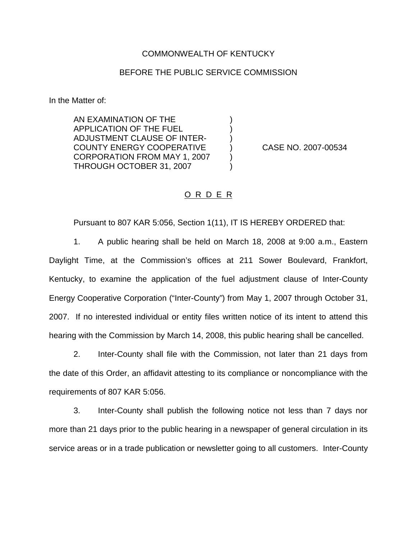## COMMONWEALTH OF KENTUCKY

## BEFORE THE PUBLIC SERVICE COMMISSION

) ) )

) )

In the Matter of:

AN EXAMINATION OF THE APPLICATION OF THE FUEL ADJUSTMENT CLAUSE OF INTER-COUNTY ENERGY COOPERATIVE CORPORATION FROM MAY 1, 2007 THROUGH OCTOBER 31, 2007

) CASE NO. 2007-00534

## O R D E R

Pursuant to 807 KAR 5:056, Section 1(11), IT IS HEREBY ORDERED that:

1. A public hearing shall be held on March 18, 2008 at 9:00 a.m., Eastern Daylight Time, at the Commission's offices at 211 Sower Boulevard, Frankfort, Kentucky, to examine the application of the fuel adjustment clause of Inter-County Energy Cooperative Corporation ("Inter-County") from May 1, 2007 through October 31, 2007. If no interested individual or entity files written notice of its intent to attend this hearing with the Commission by March 14, 2008, this public hearing shall be cancelled.

2. Inter-County shall file with the Commission, not later than 21 days from the date of this Order, an affidavit attesting to its compliance or noncompliance with the requirements of 807 KAR 5:056.

3. Inter-County shall publish the following notice not less than 7 days nor more than 21 days prior to the public hearing in a newspaper of general circulation in its service areas or in a trade publication or newsletter going to all customers. Inter-County